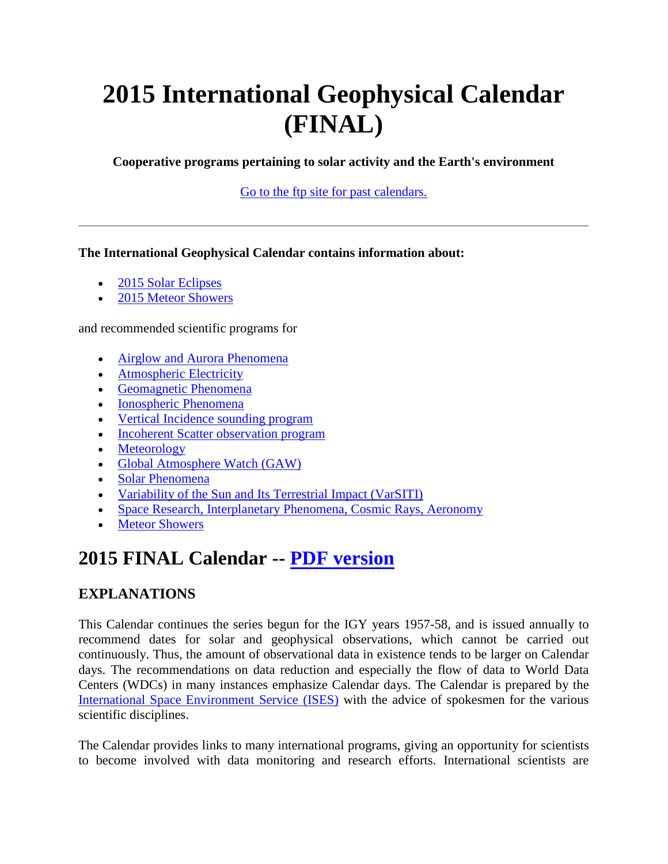# **2015 International Geophysical Calendar (FINAL)**

**Cooperative programs pertaining to solar activity and the Earth's environment**

[Go to the ftp site for past calendars.](ftp://ftp.ngdc.noaa.gov/STP/publications/igc_calendars/)

#### **The International Geophysical Calendar contains information about:**

- [2015 Solar Eclipses](#page-1-0)
- [2015 Meteor Showers](#page-2-0)

and recommended scientific programs for

- [Airglow and Aurora Phenomena](#page-5-0)
- [Atmospheric Electricity](#page-5-1)
- [Geomagnetic Phenomena](#page-6-0)
- [Ionospheric Phenomena](#page-6-1)
- [Vertical Incidence sounding program](#page-6-2)
- [Incoherent Scatter observation program](#page-6-3)
- [Meteorology](#page-10-0)
- [Global Atmosphere Watch \(GAW\)](#page-10-1)
- [Solar Phenomena](#page-10-2)
- [Variability of the Sun and Its Terrestrial Impact \(VarSITI\)](#page-10-3)
- [Space Research, Interplanetary Phenomena, Cosmic Rays, Aeronomy](#page-11-0)
- **[Meteor Showers](#page-11-1)**

# **2015 FINAL Calendar -- [PDF version](ftp://ftp.ngdc.noaa.gov/STP/publications/igc_calendars/2015/)**

# **EXPLANATIONS**

This Calendar continues the series begun for the IGY years 1957-58, and is issued annually to recommend dates for solar and geophysical observations, which cannot be carried out continuously. Thus, the amount of observational data in existence tends to be larger on Calendar days. The recommendations on data reduction and especially the flow of data to World Data Centers (WDCs) in many instances emphasize Calendar days. The Calendar is prepared by the [International Space Environment Service \(ISES\)](http://www.ises-spaceweather.org/) with the advice of spokesmen for the various scientific disciplines.

The Calendar provides links to many international programs, giving an opportunity for scientists to become involved with data monitoring and research efforts. International scientists are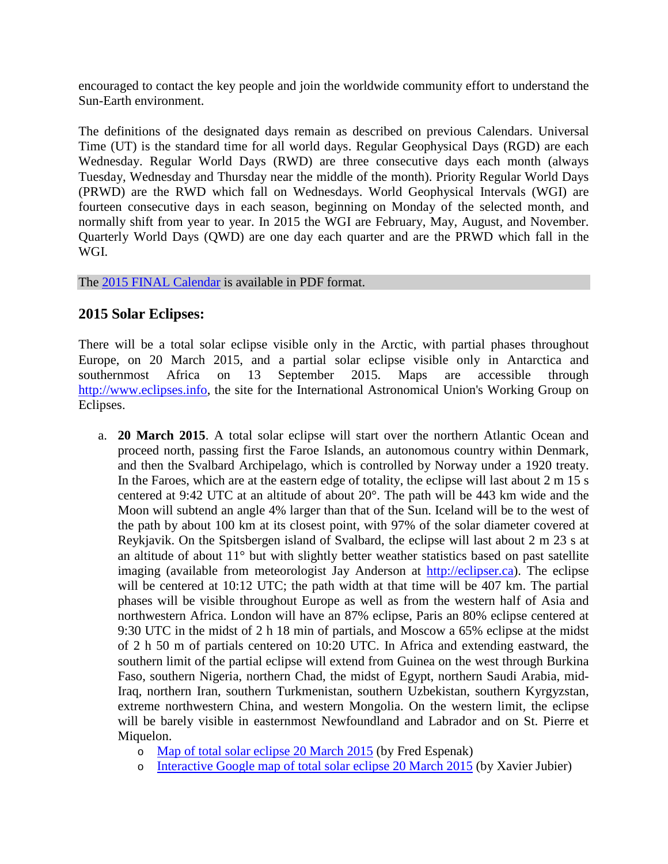encouraged to contact the key people and join the worldwide community effort to understand the Sun-Earth environment.

The definitions of the designated days remain as described on previous Calendars. Universal Time (UT) is the standard time for all world days. Regular Geophysical Days (RGD) are each Wednesday. Regular World Days (RWD) are three consecutive days each month (always Tuesday, Wednesday and Thursday near the middle of the month). Priority Regular World Days (PRWD) are the RWD which fall on Wednesdays. World Geophysical Intervals (WGI) are fourteen consecutive days in each season, beginning on Monday of the selected month, and normally shift from year to year. In 2015 the WGI are February, May, August, and November. Quarterly World Days (QWD) are one day each quarter and are the PRWD which fall in the WGI.

The [2015 FINAL](ftp://ftp.ngdc.noaa.gov/STP/publications/igc_calendars/2015/) Calendar is available in PDF format.

# <span id="page-1-0"></span>**2015 Solar Eclipses:**

There will be a total solar eclipse visible only in the Arctic, with partial phases throughout Europe, on 20 March 2015, and a partial solar eclipse visible only in Antarctica and southernmost Africa on 13 September 2015. Maps are accessible through [http://www.eclipses.info,](http://www.eclipses.info/) the site for the International Astronomical Union's Working Group on Eclipses.

- a. **20 March 2015**. A total solar eclipse will start over the northern Atlantic Ocean and proceed north, passing first the Faroe Islands, an autonomous country within Denmark, and then the Svalbard Archipelago, which is controlled by Norway under a 1920 treaty. In the Faroes, which are at the eastern edge of totality, the eclipse will last about 2 m 15 s centered at 9:42 UTC at an altitude of about 20°. The path will be 443 km wide and the Moon will subtend an angle 4% larger than that of the Sun. Iceland will be to the west of the path by about 100 km at its closest point, with 97% of the solar diameter covered at Reykjavik. On the Spitsbergen island of Svalbard, the eclipse will last about 2 m 23 s at an altitude of about 11° but with slightly better weather statistics based on past satellite imaging (available from meteorologist Jay Anderson at [http://eclipser.ca\)](http://eclipser.ca/). The eclipse will be centered at 10:12 UTC; the path width at that time will be 407 km. The partial phases will be visible throughout Europe as well as from the western half of Asia and northwestern Africa. London will have an 87% eclipse, Paris an 80% eclipse centered at 9:30 UTC in the midst of 2 h 18 min of partials, and Moscow a 65% eclipse at the midst of 2 h 50 m of partials centered on 10:20 UTC. In Africa and extending eastward, the southern limit of the partial eclipse will extend from Guinea on the west through Burkina Faso, southern Nigeria, northern Chad, the midst of Egypt, northern Saudi Arabia, mid-Iraq, northern Iran, southern Turkmenistan, southern Uzbekistan, southern Kyrgyzstan, extreme northwestern China, and western Mongolia. On the western limit, the eclipse will be barely visible in easternmost Newfoundland and Labrador and on St. Pierre et Miquelon.
	- o [Map of total solar eclipse 20 March 2015](http://wwpw.eclipsewise.com/solar/SEprime/2001-2100/SE2015Mar20Tprime.html) (by Fred Espenak)
	- o [Interactive Google map of total solar eclipse 20 March 2015](http://xjubier.free.fr/en/site_pages/solar_eclipses/xSE_GoogleMap3.php?Ecl=+20150320) (by Xavier Jubier)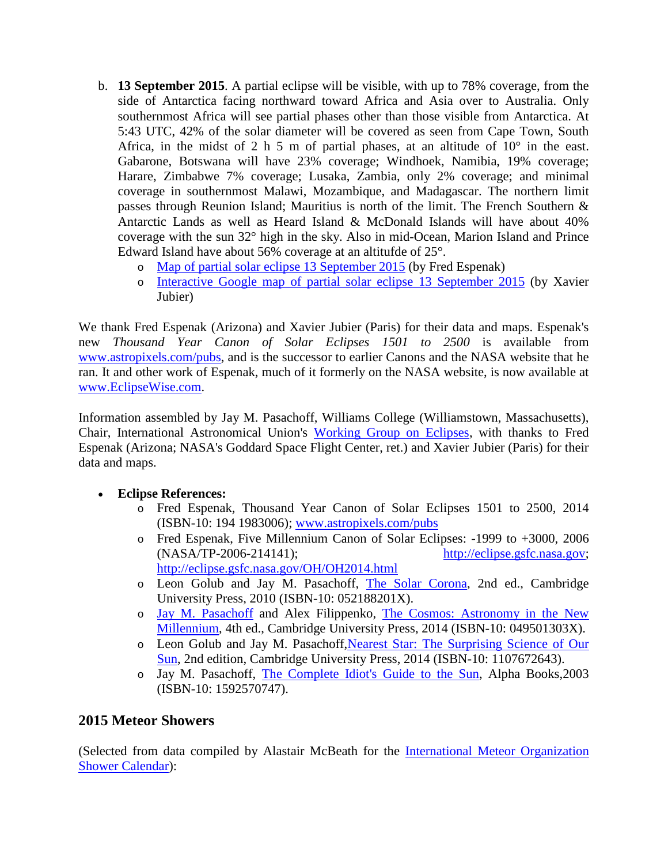- b. **13 September 2015**. A partial eclipse will be visible, with up to 78% coverage, from the side of Antarctica facing northward toward Africa and Asia over to Australia. Only southernmost Africa will see partial phases other than those visible from Antarctica. At 5:43 UTC, 42% of the solar diameter will be covered as seen from Cape Town, South Africa, in the midst of 2 h 5 m of partial phases, at an altitude of  $10^{\circ}$  in the east. Gabarone, Botswana will have 23% coverage; Windhoek, Namibia, 19% coverage; Harare, Zimbabwe 7% coverage; Lusaka, Zambia, only 2% coverage; and minimal coverage in southernmost Malawi, Mozambique, and Madagascar. The northern limit passes through Reunion Island; Mauritius is north of the limit. The French Southern & Antarctic Lands as well as Heard Island & McDonald Islands will have about 40% coverage with the sun 32° high in the sky. Also in mid-Ocean, Marion Island and Prince Edward Island have about 56% coverage at an altitufde of 25°.
	- o [Map of partial solar eclipse 13 September 2015](http://wwpw.eclipsewise.com/solar/SEprime/2001-2100/SE2015Sep13Pprime.html) (by Fred Espenak)
	- o [Interactive Google map of partial solar eclipse 13 September 2015](http://xjubier.free.fr/en/site_pages/solar_eclipses/xSE_GoogleMap3.php?Ecl=+20150913&Acc=2&Umb=0&Lmt=1&Mag=1&Max=1) (by Xavier Jubier)

We thank Fred Espenak (Arizona) and Xavier Jubier (Paris) for their data and maps. Espenak's new *Thousand Year Canon of Solar Eclipses 1501 to 2500* is available from [www.astropixels.com/pubs,](http://www.astropixels.com/pubs/) and is the successor to earlier Canons and the NASA website that he ran. It and other work of Espenak, much of it formerly on the NASA website, is now available at [www.EclipseWise.com.](http://www.eclipsewise.com/)

Information assembled by Jay M. Pasachoff, Williams College (Williamstown, Massachusetts), Chair, International Astronomical Union's [Working Group on Eclipses,](http://www.eclipses.info/) with thanks to Fred Espenak (Arizona; NASA's Goddard Space Flight Center, ret.) and Xavier Jubier (Paris) for their data and maps.

#### • **Eclipse References:**

- o Fred Espenak, Thousand Year Canon of Solar Eclipses 1501 to 2500, 2014 (ISBN-10: 194 1983006); [www.astropixels.com/pubs](http://www.astropixels.com/pubs/)
- o Fred Espenak, Five Millennium Canon of Solar Eclipses: -1999 to +3000, 2006<br>(NASA/TP-2006-214141); http://eclipse.gsfc.nasa.gov; [http://eclipse.gsfc.nasa.gov;](http://eclipse.gsfc.nasa.gov/) <http://eclipse.gsfc.nasa.gov/OH/OH2014.html>
- o Leon Golub and Jay M. Pasachoff, [The Solar Corona,](http://web.williams.edu/Astronomy/corona/) 2nd ed., Cambridge University Press, 2010 (ISBN-10: 052188201X).
- o [Jay M. Pasachoff](http://www.williams.edu/Astronomy/jay) and Alex Filippenko, [The Cosmos: Astronomy in the New](http://www.cengage.com/cgi-wadsworth/course_products_wp.pl?fid=M20b&product_isbn_issn=9780495013037&discipline_number=0)  [Millennium,](http://www.cengage.com/cgi-wadsworth/course_products_wp.pl?fid=M20b&product_isbn_issn=9780495013037&discipline_number=0) 4th ed., Cambridge University Press, 2014 (ISBN-10: 049501303X).
- o Leon Golub and Jay M. Pasachoff[,Nearest Star: The Surprising Science of Our](http://web.williams.edu/astronomy/neareststar/)  [Sun,](http://web.williams.edu/astronomy/neareststar/) 2nd edition, Cambridge University Press, 2014 (ISBN-10: 1107672643).
- o Jay M. Pasachoff, [The Complete Idiot's Guide to the Sun,](http://web.williams.edu/astronomy/sun/) Alpha Books,2003 (ISBN-10: 1592570747).

# <span id="page-2-0"></span>**2015 Meteor Showers**

(Selected from data compiled by Alastair McBeath for the [International Meteor Organization](http://www.imo.net/calendar)  [Shower Calendar\)](http://www.imo.net/calendar):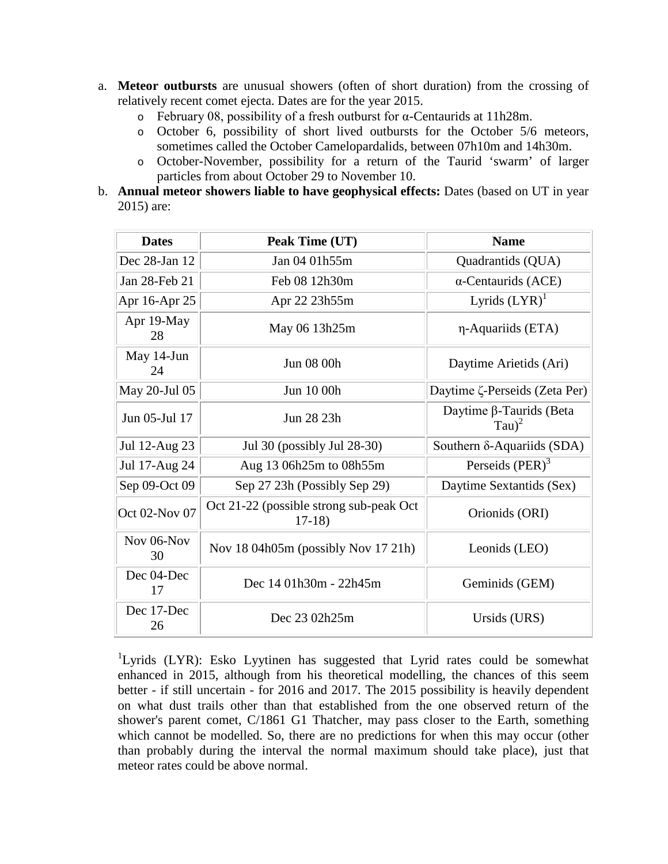- a. **Meteor outbursts** are unusual showers (often of short duration) from the crossing of relatively recent comet ejecta. Dates are for the year 2015.
	- o February 08, possibility of a fresh outburst for α-Centaurids at 11h28m.
	- o October 6, possibility of short lived outbursts for the October 5/6 meteors, sometimes called the October Camelopardalids, between 07h10m and 14h30m.
	- o October-November, possibility for a return of the Taurid 'swarm' of larger particles from about October 29 to November 10.
- b. **Annual meteor showers liable to have geophysical effects:** Dates (based on UT in year 2015) are:

| <b>Dates</b>     | Peak Time (UT)                                      | <b>Name</b>                                 |
|------------------|-----------------------------------------------------|---------------------------------------------|
| Dec 28-Jan 12    | Jan 04 01h55m                                       | Quadrantids (QUA)                           |
| Jan 28-Feb 21    | Feb 08 12h30m                                       | $\alpha$ -Centaurids (ACE)                  |
| Apr 16-Apr 25    | Apr 22 23h55m                                       | Lyrids $(LYR)^{1}$                          |
| Apr 19-May<br>28 | May 06 13h25m                                       | $\eta$ -Aquariids (ETA)                     |
| May 14-Jun<br>24 | Jun 08 00h                                          | Daytime Arietids (Ari)                      |
| May 20-Jul 05    | Jun 10 00h                                          | Daytime ζ-Perseids (Zeta Per)               |
| Jun 05-Jul 17    | Jun 28 23h                                          | Daytime $\beta$ -Taurids (Beta<br>Tau $)^2$ |
| Jul 12-Aug 23    | Jul 30 (possibly Jul 28-30)                         | Southern $\delta$ -Aquariids (SDA)          |
| Jul 17-Aug 24    | Aug 13 06h25m to 08h55m                             | Perseids $(PER)^3$                          |
| Sep 09-Oct 09    | Sep 27 23h (Possibly Sep 29)                        | Daytime Sextantids (Sex)                    |
| Oct 02-Nov 07    | Oct 21-22 (possible strong sub-peak Oct)<br>$17-18$ | Orionids (ORI)                              |
| Nov 06-Nov<br>30 | Nov $18\,04h05m$ (possibly Nov $17\,21h$ )          | Leonids (LEO)                               |
| Dec 04-Dec<br>17 | Dec 14 01h30m - 22h45m                              | Geminids (GEM)                              |
| Dec 17-Dec<br>26 | Dec 23 02h25m                                       | Ursids (URS)                                |

<sup>1</sup>Lyrids (LYR): Esko Lyytinen has suggested that Lyrid rates could be somewhat enhanced in 2015, although from his theoretical modelling, the chances of this seem better - if still uncertain - for 2016 and 2017. The 2015 possibility is heavily dependent on what dust trails other than that established from the one observed return of the shower's parent comet, C/1861 G1 Thatcher, may pass closer to the Earth, something which cannot be modelled. So, there are no predictions for when this may occur (other than probably during the interval the normal maximum should take place), just that meteor rates could be above normal.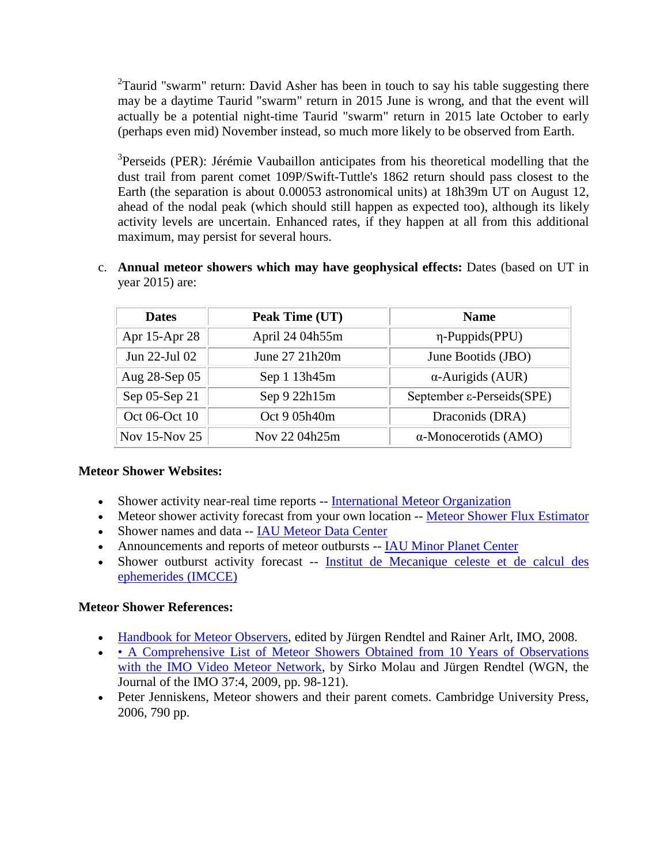$2$ Taurid "swarm" return: David Asher has been in touch to say his table suggesting there may be a daytime Taurid "swarm" return in 2015 June is wrong, and that the event will actually be a potential night-time Taurid "swarm" return in 2015 late October to early (perhaps even mid) November instead, so much more likely to be observed from Earth.

<sup>3</sup>Perseids (PER): Jérémie Vaubaillon anticipates from his theoretical modelling that the dust trail from parent comet 109P/Swift-Tuttle's 1862 return should pass closest to the Earth (the separation is about 0.00053 astronomical units) at 18h39m UT on August 12, ahead of the nodal peak (which should still happen as expected too), although its likely activity levels are uncertain. Enhanced rates, if they happen at all from this additional maximum, may persist for several hours.

c. **Annual meteor showers which may have geophysical effects:** Dates (based on UT in year 2015) are:

| <b>Dates</b>  | Peak Time (UT)    | <b>Name</b>                  |
|---------------|-------------------|------------------------------|
| Apr 15-Apr 28 | April 24 04h55m   | $\eta$ -Puppids(PPU)         |
| Jun 22-Jul 02 | June 27 21 h 20 m | June Bootids (JBO)           |
| Aug 28-Sep 05 | Sep 1 13h45m      | $\alpha$ -Aurigids (AUR)     |
| Sep 05-Sep 21 | Sep 9 22h15m      | September ε-Perseids(SPE)    |
| Oct 06-Oct 10 | Oct 9 05h40m      | Draconids (DRA)              |
| Nov 15-Nov 25 | Nov 22 04h25m     | $\alpha$ -Monocerotids (AMO) |

#### **Meteor Shower Websites:**

- Shower activity near-real time reports -- [International Meteor Organization](http://www.imo.net/)
- Meteor shower activity forecast from your own location -- [Meteor Shower Flux Estimator](http://leonid.arc.nasa.gov/estimator.html)
- Shower names and data -- [IAU Meteor Data Center](http://www.astro.amu.edu.pl/%7Ejopek/MDC2007/index.php)
- Announcements and reports of meteor outbursts -- **[IAU Minor Planet Center](http://minorplanetcenter.net/)**
- Shower outburst activity forecast -- [Institut de Mecanique celeste et de calcul des](http://www.imcce.fr/page.php?nav=en/ephemerides/phenomenes/meteor/index.php)  [ephemerides \(IMCCE\)](http://www.imcce.fr/page.php?nav=en/ephemerides/phenomenes/meteor/index.php)

#### **Meteor Shower References:**

- [Handbook for Meteor Observers,](http://www.imo.net/news/handbook) edited by Jürgen Rendtel and Rainer Arlt, IMO, 2008.
- • A Comprehensive List of Meteor Showers Obtained from 10 Years of Observations [with the IMO Video Meteor Network,](http://www.aip.de/%7Erend/molau-videoshowers_offprint.pdf) by Sirko Molau and Jürgen Rendtel (WGN, the Journal of the IMO 37:4, 2009, pp. 98-121).
- Peter Jenniskens, Meteor showers and their parent comets. Cambridge University Press, 2006, 790 pp.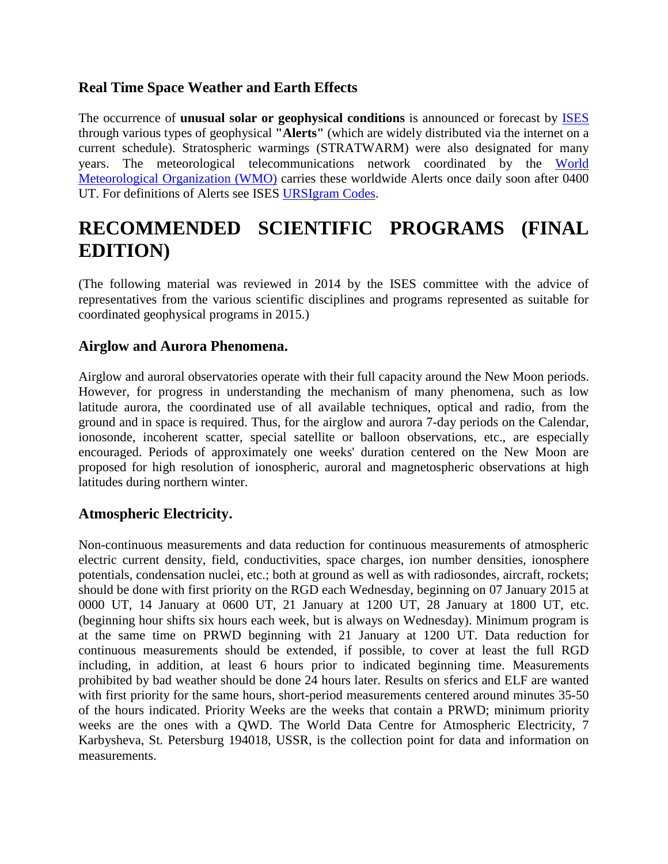# **Real Time Space Weather and Earth Effects**

The occurrence of **unusual solar or geophysical conditions** is announced or forecast by [ISES](http://ises-spaceweather.org/) through various types of geophysical **"Alerts"** (which are widely distributed via the internet on a current schedule). Stratospheric warmings (STRATWARM) were also designated for many years. The meteorological telecommunications network coordinated by the [World](http://www.wmo.ch/)  [Meteorological Organization \(WMO\)](http://www.wmo.ch/) carries these worldwide Alerts once daily soon after 0400 UT. For definitions of Alerts see ISES [URSIgram Codes.](http://www.ises-spaceweather.org/ISES/code/code.html)

# **RECOMMENDED SCIENTIFIC PROGRAMS (FINAL EDITION)**

(The following material was reviewed in 2014 by the ISES committee with the advice of representatives from the various scientific disciplines and programs represented as suitable for coordinated geophysical programs in 2015.)

#### <span id="page-5-0"></span>**Airglow and Aurora Phenomena.**

Airglow and auroral observatories operate with their full capacity around the New Moon periods. However, for progress in understanding the mechanism of many phenomena, such as low latitude aurora, the coordinated use of all available techniques, optical and radio, from the ground and in space is required. Thus, for the airglow and aurora 7-day periods on the Calendar, ionosonde, incoherent scatter, special satellite or balloon observations, etc., are especially encouraged. Periods of approximately one weeks' duration centered on the New Moon are proposed for high resolution of ionospheric, auroral and magnetospheric observations at high latitudes during northern winter.

# <span id="page-5-1"></span>**Atmospheric Electricity.**

Non-continuous measurements and data reduction for continuous measurements of atmospheric electric current density, field, conductivities, space charges, ion number densities, ionosphere potentials, condensation nuclei, etc.; both at ground as well as with radiosondes, aircraft, rockets; should be done with first priority on the RGD each Wednesday, beginning on 07 January 2015 at 0000 UT, 14 January at 0600 UT, 21 January at 1200 UT, 28 January at 1800 UT, etc. (beginning hour shifts six hours each week, but is always on Wednesday). Minimum program is at the same time on PRWD beginning with 21 January at 1200 UT. Data reduction for continuous measurements should be extended, if possible, to cover at least the full RGD including, in addition, at least 6 hours prior to indicated beginning time. Measurements prohibited by bad weather should be done 24 hours later. Results on sferics and ELF are wanted with first priority for the same hours, short-period measurements centered around minutes 35-50 of the hours indicated. Priority Weeks are the weeks that contain a PRWD; minimum priority weeks are the ones with a QWD. The World Data Centre for Atmospheric Electricity, 7 Karbysheva, St. Petersburg 194018, USSR, is the collection point for data and information on measurements.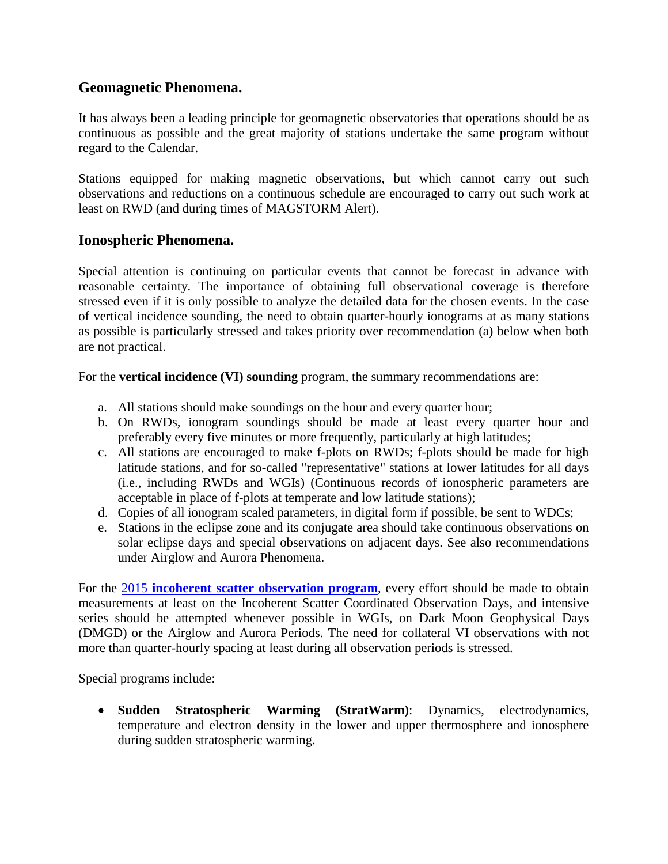# <span id="page-6-0"></span>**Geomagnetic Phenomena.**

It has always been a leading principle for geomagnetic observatories that operations should be as continuous as possible and the great majority of stations undertake the same program without regard to the Calendar.

Stations equipped for making magnetic observations, but which cannot carry out such observations and reductions on a continuous schedule are encouraged to carry out such work at least on RWD (and during times of MAGSTORM Alert).

#### <span id="page-6-1"></span>**Ionospheric Phenomena.**

Special attention is continuing on particular events that cannot be forecast in advance with reasonable certainty. The importance of obtaining full observational coverage is therefore stressed even if it is only possible to analyze the detailed data for the chosen events. In the case of vertical incidence sounding, the need to obtain quarter-hourly ionograms at as many stations as possible is particularly stressed and takes priority over recommendation (a) below when both are not practical.

<span id="page-6-2"></span>For the **vertical incidence (VI) sounding** program, the summary recommendations are:

- a. All stations should make soundings on the hour and every quarter hour;
- b. On RWDs, ionogram soundings should be made at least every quarter hour and preferably every five minutes or more frequently, particularly at high latitudes;
- c. All stations are encouraged to make f-plots on RWDs; f-plots should be made for high latitude stations, and for so-called "representative" stations at lower latitudes for all days (i.e., including RWDs and WGIs) (Continuous records of ionospheric parameters are acceptable in place of f-plots at temperate and low latitude stations);
- d. Copies of all ionogram scaled parameters, in digital form if possible, be sent to WDCs;
- e. Stations in the eclipse zone and its conjugate area should take continuous observations on solar eclipse days and special observations on adjacent days. See also recommendations under Airglow and Aurora Phenomena.

<span id="page-6-3"></span>For the 2015 **[incoherent scatter observation program](http://www.isr.sri.com/wd2015.html)**, every effort should be made to obtain measurements at least on the Incoherent Scatter Coordinated Observation Days, and intensive series should be attempted whenever possible in WGIs, on Dark Moon Geophysical Days (DMGD) or the Airglow and Aurora Periods. The need for collateral VI observations with not more than quarter-hourly spacing at least during all observation periods is stressed.

Special programs include:

• **Sudden Stratospheric Warming (StratWarm)**: Dynamics, electrodynamics, temperature and electron density in the lower and upper thermosphere and ionosphere during sudden stratospheric warming.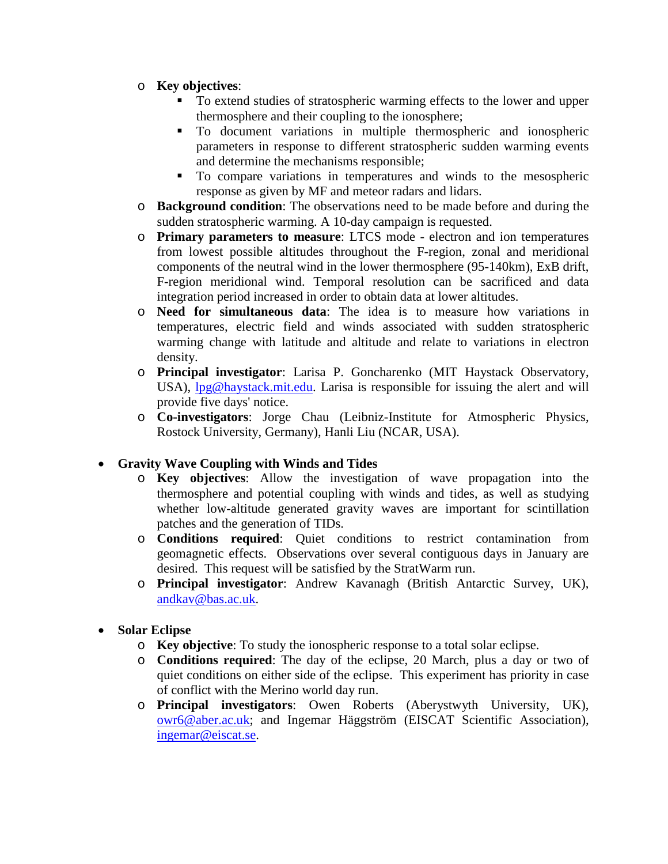- o **Key objectives**:
	- To extend studies of stratospheric warming effects to the lower and upper thermosphere and their coupling to the ionosphere;
	- To document variations in multiple thermospheric and ionospheric parameters in response to different stratospheric sudden warming events and determine the mechanisms responsible;
	- To compare variations in temperatures and winds to the mesospheric response as given by MF and meteor radars and lidars.
- o **Background condition**: The observations need to be made before and during the sudden stratospheric warming. A 10-day campaign is requested.
- o **Primary parameters to measure**: LTCS mode electron and ion temperatures from lowest possible altitudes throughout the F-region, zonal and meridional components of the neutral wind in the lower thermosphere (95-140km), ExB drift, F-region meridional wind. Temporal resolution can be sacrificed and data integration period increased in order to obtain data at lower altitudes.
- o **Need for simultaneous data**: The idea is to measure how variations in temperatures, electric field and winds associated with sudden stratospheric warming change with latitude and altitude and relate to variations in electron density.
- o **Principal investigator**: Larisa P. Goncharenko (MIT Haystack Observatory, USA), [lpg@haystack.mit.edu.](mailto:lpg@haystack.mit.edu) Larisa is responsible for issuing the alert and will provide five days' notice.
- o **Co-investigators**: Jorge Chau (Leibniz-Institute for Atmospheric Physics, Rostock University, Germany), Hanli Liu (NCAR, USA).

# • **Gravity Wave Coupling with Winds and Tides**

- o **Key objectives**: Allow the investigation of wave propagation into the thermosphere and potential coupling with winds and tides, as well as studying whether low-altitude generated gravity waves are important for scintillation patches and the generation of TIDs.
- o **Conditions required**: Quiet conditions to restrict contamination from geomagnetic effects. Observations over several contiguous days in January are desired. This request will be satisfied by the StratWarm run.
- o **Principal investigator**: Andrew Kavanagh (British Antarctic Survey, UK), [andkav@bas.ac.uk.](mailto:andkav@bas.ac.uk)
- **Solar Eclipse**
	- o **Key objective**: To study the ionospheric response to a total solar eclipse.
	- o **Conditions required**: The day of the eclipse, 20 March, plus a day or two of quiet conditions on either side of the eclipse. This experiment has priority in case of conflict with the Merino world day run.
	- o **Principal investigators**: Owen Roberts (Aberystwyth University, UK), [owr6@aber.ac.uk;](mailto:owr6@aber.ac.uk) and Ingemar Häggström (EISCAT Scientific Association), [ingemar@eiscat.se.](mailto:ingemar@eiscat.se)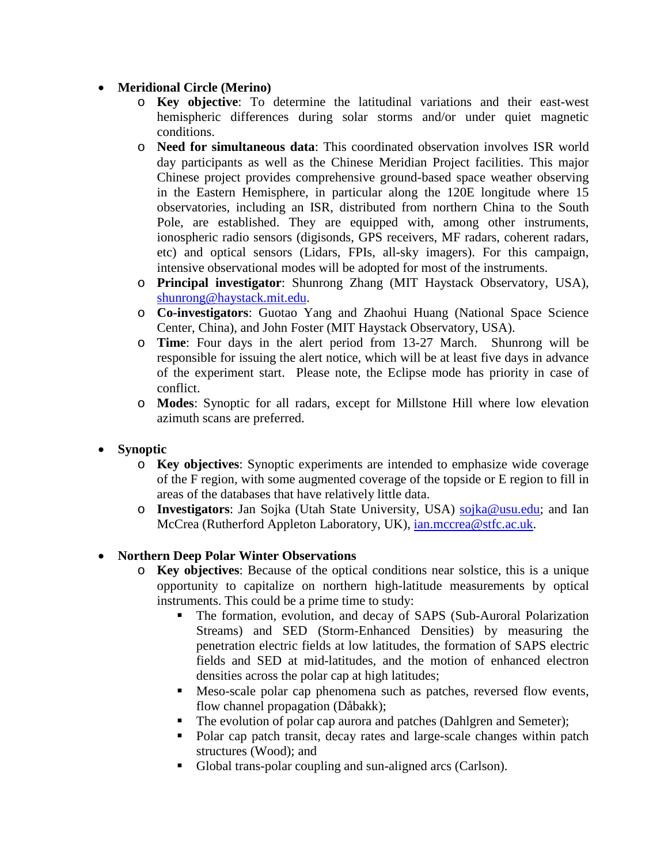#### • **Meridional Circle (Merino)**

- o **Key objective**: To determine the latitudinal variations and their east-west hemispheric differences during solar storms and/or under quiet magnetic conditions.
- o **Need for simultaneous data**: This coordinated observation involves ISR world day participants as well as the Chinese Meridian Project facilities. This major Chinese project provides comprehensive ground-based space weather observing in the Eastern Hemisphere, in particular along the 120E longitude where 15 observatories, including an ISR, distributed from northern China to the South Pole, are established. They are equipped with, among other instruments, ionospheric radio sensors (digisonds, GPS receivers, MF radars, coherent radars, etc) and optical sensors (Lidars, FPIs, all-sky imagers). For this campaign, intensive observational modes will be adopted for most of the instruments.
- o **Principal investigator**: Shunrong Zhang (MIT Haystack Observatory, USA), [shunrong@haystack.mit.edu.](mailto:shunrong@haystack.mit.edu)
- o **Co-investigators**: Guotao Yang and Zhaohui Huang (National Space Science Center, China), and John Foster (MIT Haystack Observatory, USA).
- o **Time**: Four days in the alert period from 13-27 March. Shunrong will be responsible for issuing the alert notice, which will be at least five days in advance of the experiment start. Please note, the Eclipse mode has priority in case of conflict.
- o **Modes**: Synoptic for all radars, except for Millstone Hill where low elevation azimuth scans are preferred.
- **Synoptic**
	- o **Key objectives**: Synoptic experiments are intended to emphasize wide coverage of the F region, with some augmented coverage of the topside or E region to fill in areas of the databases that have relatively little data.
	- o **Investigators**: Jan Sojka (Utah State University, USA) [sojka@usu.edu;](mailto:sojka@usu.edu) and Ian McCrea (Rutherford Appleton Laboratory, UK), [ian.mccrea@stfc.ac.uk.](mailto:ian.mccrea@stfc.ac.uk)

#### • **Northern Deep Polar Winter Observations**

- o **Key objectives**: Because of the optical conditions near solstice, this is a unique opportunity to capitalize on northern high-latitude measurements by optical instruments. This could be a prime time to study:
	- The formation, evolution, and decay of SAPS (Sub-Auroral Polarization Streams) and SED (Storm-Enhanced Densities) by measuring the penetration electric fields at low latitudes, the formation of SAPS electric fields and SED at mid-latitudes, and the motion of enhanced electron densities across the polar cap at high latitudes;
	- Meso-scale polar cap phenomena such as patches, reversed flow events, flow channel propagation (Dåbakk);
	- The evolution of polar cap aurora and patches (Dahlgren and Semeter);
	- Polar cap patch transit, decay rates and large-scale changes within patch structures (Wood); and
	- Global trans-polar coupling and sun-aligned arcs (Carlson).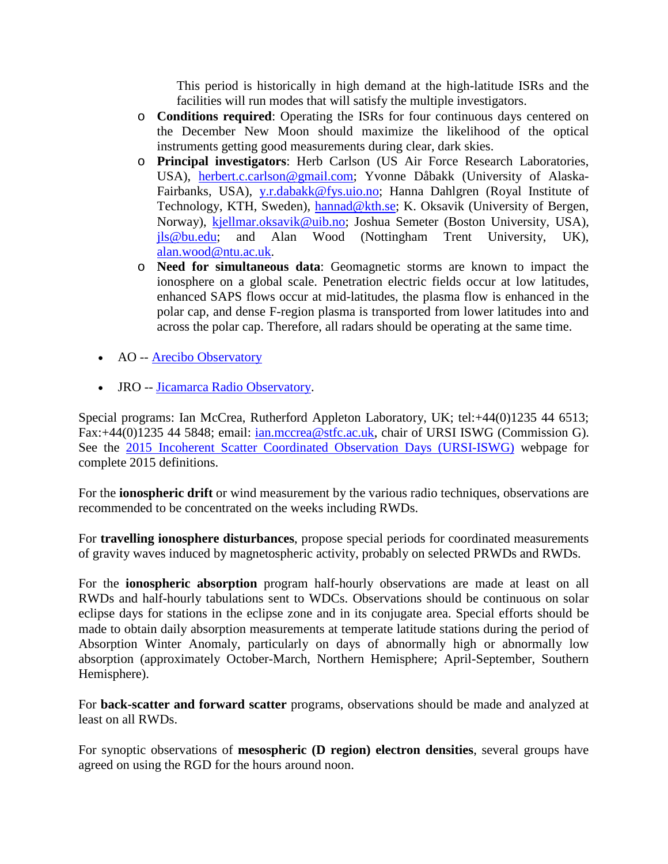This period is historically in high demand at the high-latitude ISRs and the facilities will run modes that will satisfy the multiple investigators.

- o **Conditions required**: Operating the ISRs for four continuous days centered on the December New Moon should maximize the likelihood of the optical instruments getting good measurements during clear, dark skies.
- o **Principal investigators**: Herb Carlson (US Air Force Research Laboratories, USA), [herbert.c.carlson@gmail.com;](mailto:herbert.c.carlson@gmail.com) Yvonne Dåbakk (University of Alaska-Fairbanks, USA), [y.r.dabakk@fys.uio.no;](mailto:y.r.dabakk@fys.uio.no) Hanna Dahlgren (Royal Institute of Technology, KTH, Sweden), [hannad@kth.se;](mailto:hannad@kth.se) K. Oksavik (University of Bergen, Norway), [kjellmar.oksavik@uib.no;](mailto:kjellmar.oksavik@uib.no) Joshua Semeter (Boston University, USA), [jls@bu.edu;](mailto:jls@bu.edu) and Alan Wood (Nottingham Trent University, UK), [alan.wood@ntu.ac.uk.](mailto:alan.wood@ntu.ac.uk)
- o **Need for simultaneous data**: Geomagnetic storms are known to impact the ionosphere on a global scale. Penetration electric fields occur at low latitudes, enhanced SAPS flows occur at mid-latitudes, the plasma flow is enhanced in the polar cap, and dense F-region plasma is transported from lower latitudes into and across the polar cap. Therefore, all radars should be operating at the same time.
- AO -- [Arecibo Observatory](http://www.naic.edu/aisr/olmon2005/omframedoc.html)
- JRO -- [Jicamarca Radio Observatory.](http://jro.igp.gob.pe/english/radar/operation/real-time_en.php)

Special programs: Ian McCrea, Rutherford Appleton Laboratory, UK; tel:+44(0)1235 44 6513; Fax:+44(0)1235 44 5848; email:  $\frac{\text{ian.ב}{\text{m.}}$  mccrea@stfc.ac.uk, chair of URSI ISWG (Commission G). See the [2015 Incoherent Scatter Coordinated Observation Days \(URSI-ISWG\)](http://www.isr.sri.com/wd2015.html) webpage for complete 2015 definitions.

For the **ionospheric drift** or wind measurement by the various radio techniques, observations are recommended to be concentrated on the weeks including RWDs.

For **travelling ionosphere disturbances**, propose special periods for coordinated measurements of gravity waves induced by magnetospheric activity, probably on selected PRWDs and RWDs.

For the **ionospheric absorption** program half-hourly observations are made at least on all RWDs and half-hourly tabulations sent to WDCs. Observations should be continuous on solar eclipse days for stations in the eclipse zone and in its conjugate area. Special efforts should be made to obtain daily absorption measurements at temperate latitude stations during the period of Absorption Winter Anomaly, particularly on days of abnormally high or abnormally low absorption (approximately October-March, Northern Hemisphere; April-September, Southern Hemisphere).

For **back-scatter and forward scatter** programs, observations should be made and analyzed at least on all RWDs.

For synoptic observations of **mesospheric (D region) electron densities**, several groups have agreed on using the RGD for the hours around noon.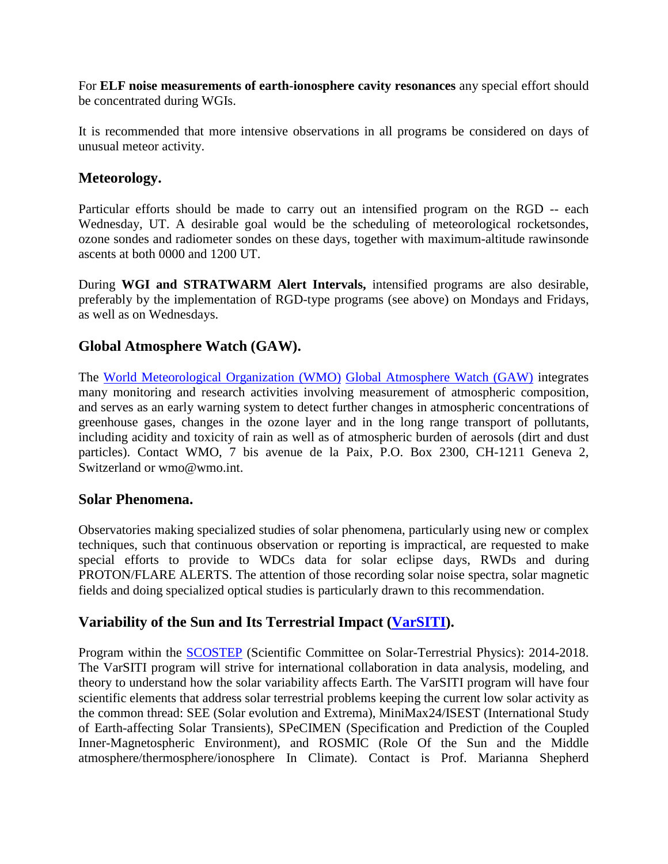For **ELF noise measurements of earth-ionosphere cavity resonances** any special effort should be concentrated during WGIs.

It is recommended that more intensive observations in all programs be considered on days of unusual meteor activity.

#### <span id="page-10-0"></span>**Meteorology.**

Particular efforts should be made to carry out an intensified program on the RGD -- each Wednesday, UT. A desirable goal would be the scheduling of meteorological rocketsondes, ozone sondes and radiometer sondes on these days, together with maximum-altitude rawinsonde ascents at both 0000 and 1200 UT.

During **WGI and STRATWARM Alert Intervals,** intensified programs are also desirable, preferably by the implementation of RGD-type programs (see above) on Mondays and Fridays, as well as on Wednesdays.

# <span id="page-10-1"></span>**Global Atmosphere Watch (GAW).**

The [World Meteorological Organization \(WMO\)](http://www.wmo.ch/) [Global Atmosphere Watch \(GAW\)](http://www.wmo.int/pages/prog/arep/gaw/gaw_home_en.html) integrates many monitoring and research activities involving measurement of atmospheric composition, and serves as an early warning system to detect further changes in atmospheric concentrations of greenhouse gases, changes in the ozone layer and in the long range transport of pollutants, including acidity and toxicity of rain as well as of atmospheric burden of aerosols (dirt and dust particles). Contact WMO, 7 bis avenue de la Paix, P.O. Box 2300, CH-1211 Geneva 2, Switzerland or wmo@wmo.int.

#### <span id="page-10-2"></span>**Solar Phenomena.**

Observatories making specialized studies of solar phenomena, particularly using new or complex techniques, such that continuous observation or reporting is impractical, are requested to make special efforts to provide to WDCs data for solar eclipse days, RWDs and during PROTON/FLARE ALERTS. The attention of those recording solar noise spectra, solar magnetic fields and doing specialized optical studies is particularly drawn to this recommendation.

#### <span id="page-10-3"></span>**Variability of the Sun and Its Terrestrial Impact [\(VarSITI\)](http://www.yorku.ca/scostep/?page_id=1426).**

Program within the [SCOSTEP](http://www.yorku.ca/scostep/) (Scientific Committee on Solar-Terrestrial Physics): 2014-2018. The VarSITI program will strive for international collaboration in data analysis, modeling, and theory to understand how the solar variability affects Earth. The VarSITI program will have four scientific elements that address solar terrestrial problems keeping the current low solar activity as the common thread: SEE (Solar evolution and Extrema), MiniMax24/ISEST (International Study of Earth-affecting Solar Transients), SPeCIMEN (Specification and Prediction of the Coupled Inner-Magnetospheric Environment), and ROSMIC (Role Of the Sun and the Middle atmosphere/thermosphere/ionosphere In Climate). Contact is Prof. Marianna Shepherd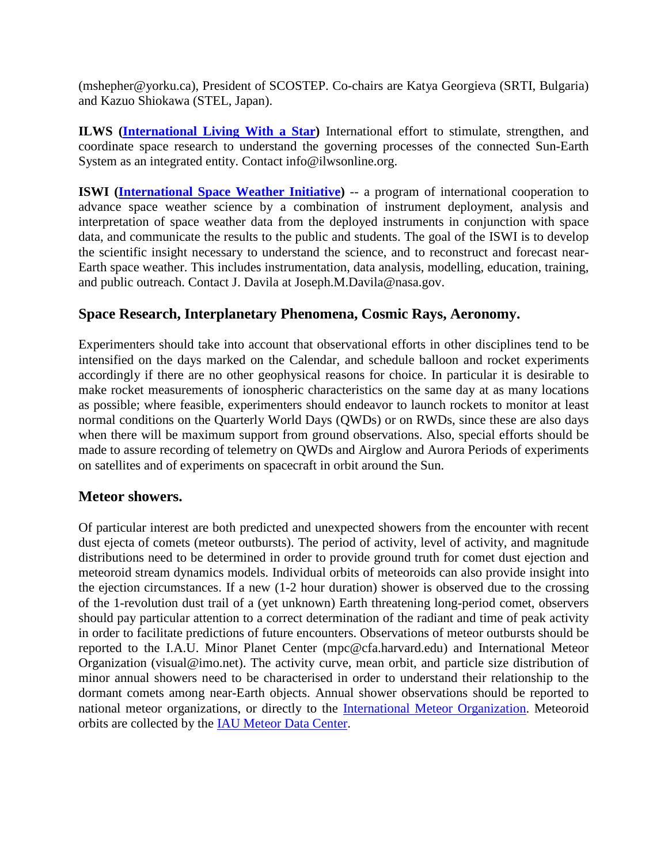(mshepher@yorku.ca), President of SCOSTEP. Co-chairs are Katya Georgieva (SRTI, Bulgaria) and Kazuo Shiokawa (STEL, Japan).

**ILWS [\(International Living With a Star\)](http://ilwsonline.org/)** International effort to stimulate, strengthen, and coordinate space research to understand the governing processes of the connected Sun-Earth System as an integrated entity. Contact info@ilwsonline.org.

**ISWI** (*International Space Weather Initiative*) -- a program of international cooperation to advance space weather science by a combination of instrument deployment, analysis and interpretation of space weather data from the deployed instruments in conjunction with space data, and communicate the results to the public and students. The goal of the ISWI is to develop the scientific insight necessary to understand the science, and to reconstruct and forecast near-Earth space weather. This includes instrumentation, data analysis, modelling, education, training, and public outreach. Contact J. Davila at Joseph.M.Davila@nasa.gov.

# <span id="page-11-0"></span>**Space Research, Interplanetary Phenomena, Cosmic Rays, Aeronomy.**

Experimenters should take into account that observational efforts in other disciplines tend to be intensified on the days marked on the Calendar, and schedule balloon and rocket experiments accordingly if there are no other geophysical reasons for choice. In particular it is desirable to make rocket measurements of ionospheric characteristics on the same day at as many locations as possible; where feasible, experimenters should endeavor to launch rockets to monitor at least normal conditions on the Quarterly World Days (QWDs) or on RWDs, since these are also days when there will be maximum support from ground observations. Also, special efforts should be made to assure recording of telemetry on QWDs and Airglow and Aurora Periods of experiments on satellites and of experiments on spacecraft in orbit around the Sun.

# <span id="page-11-1"></span>**Meteor showers.**

Of particular interest are both predicted and unexpected showers from the encounter with recent dust ejecta of comets (meteor outbursts). The period of activity, level of activity, and magnitude distributions need to be determined in order to provide ground truth for comet dust ejection and meteoroid stream dynamics models. Individual orbits of meteoroids can also provide insight into the ejection circumstances. If a new (1-2 hour duration) shower is observed due to the crossing of the 1-revolution dust trail of a (yet unknown) Earth threatening long-period comet, observers should pay particular attention to a correct determination of the radiant and time of peak activity in order to facilitate predictions of future encounters. Observations of meteor outbursts should be reported to the I.A.U. Minor Planet Center (mpc@cfa.harvard.edu) and International Meteor Organization (visual@imo.net). The activity curve, mean orbit, and particle size distribution of minor annual showers need to be characterised in order to understand their relationship to the dormant comets among near-Earth objects. Annual shower observations should be reported to national meteor organizations, or directly to the [International Meteor Organization.](http://www.imo.net/) Meteoroid orbits are collected by the [IAU Meteor Data Center.](http://www.astro.sk/%7Ene/IAUMDC/Ph2003/)